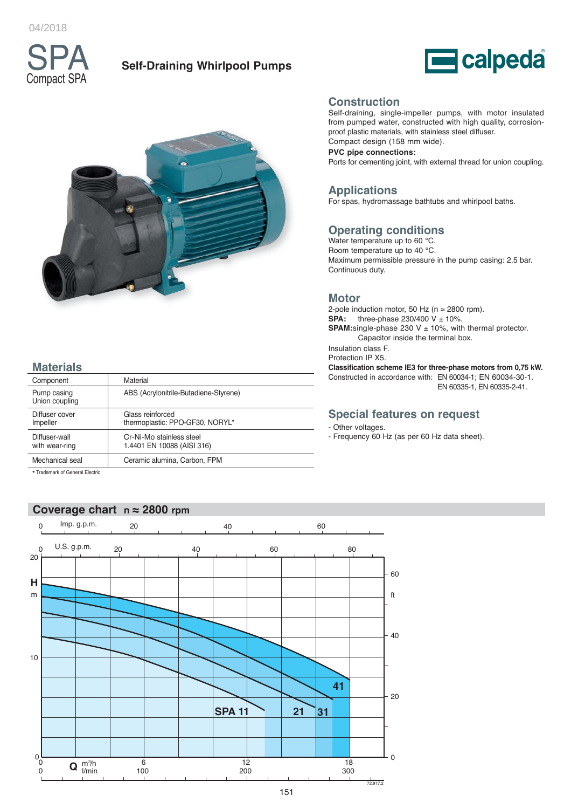04/2018



# **Self-Draining Whirlpool Pumps**





# **Materials**

| Component                       | Material                                               |
|---------------------------------|--------------------------------------------------------|
| Pump casing<br>Union coupling   | ABS (Acrylonitrile-Butadiene-Styrene)                  |
| Diffuser cover<br>Impeller      | Glass reinforced<br>thermoplastic: PPO-GF30, NORYL*    |
| Diffuser-wall<br>with wear-ring | Cr-Ni-Mo stainless steel<br>1.4401 EN 10088 (AISI 316) |
| Mechanical seal                 | Ceramic alumina, Carbon, FPM                           |
| * Trademark of General Flectric |                                                        |

\* Trademark of General Electric

# **Coverage chart n ≈ 2800 rpm**



### **Construction**

Self-draining, single-impeller pumps, with motor insulated from pumped water, constructed with high quality, corrosionproof plastic materials, with stainless steel diffuser. Compact design (158 mm wide).

**PVC pipe connections:**

Ports for cementing joint, with external thread for union coupling.

## **Applications**

For spas, hydromassage bathtubs and whirlpool baths.

## **Operating conditions**

Water temperature up to 60 °C. Room temperature up to 40 °C. Maximum permissible pressure in the pump casing: 2,5 bar. Continuous duty.

#### **Motor**

2-pole induction motor, 50 Hz (n  $\approx$  2800 rpm).<br>**SPA:** three-phase 230/400 V ± 10%. **SPA:** three-phase 230/400 V ± 10%. **SPAM:**single-phase 230 V ± 10%, with thermal protector. Capacitor inside the terminal box. Insulation class F. Protection IP X5. **Classification scheme IE3 for three-phase motors from 0,75 kW.**

Constructed in accordance with: EN 60034-1; EN 60034-30-1. EN 60335-1, EN 60335-2-41.

## **Special features on request**

#### - Other voltages.

- Frequency 60 Hz (as per 60 Hz data sheet).